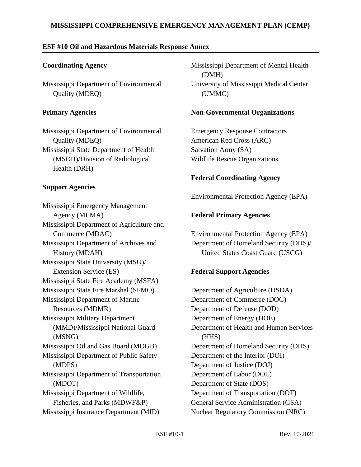#### **MISSISSIPPI COMPREHENSIVE EMERGENCY MANAGEMENT PLAN (CEMP)**

### **ESF #10 Oil and Hazardous Materials Response Annex**

### **Coordinating Agency**

Mississippi Department of Environmental Quality (MDEQ)

### **Primary Agencies**

Mississippi Department of Environmental Quality (MDEQ) Mississippi State Department of Health (MSDH)/Division of Radiological Health (DRH)

### **Support Agencies**

Mississippi Emergency Management Agency (MEMA) Mississippi Department of Agriculture and Commerce (MDAC) Mississippi Department of Archives and History (MDAH) Mississippi State University (MSU)/ Extension Service (ES) Mississippi State Fire Academy (MSFA) Mississippi State Fire Marshal (SFMO) Mississippi Department of Marine Resources (MDMR) Mississippi Military Department (MMD)/Mississippi National Guard (MSNG) Mississippi Oil and Gas Board (MOGB) Mississippi Department of Public Safety (MDPS) Mississippi Department of Transportation (MDOT) Mississippi Department of Wildlife, Fisheries, and Parks (MDWF&P) Mississippi Insurance Department (MID)

Mississippi Department of Mental Health (DMH) University of Mississippi Medical Center (UMMC)

#### **Non-Governmental Organizations**

Emergency Response Contractors American Red Cross (ARC) Salvation Army (SA) Wildlife Rescue Organizations

## **Federal Coordinating Agency**

Environmental Protection Agency (EPA)

# **Federal Primary Agencies**

Environmental Protection Agency (EPA) Department of Homeland Security (DHS)/ United States Coast Guard (USCG)

# **Federal Support Agencies**

Department of Agriculture (USDA) Department of Commerce (DOC) Department of Defense (DOD) Department of Energy (DOE) Department of Health and Human Services (HHS) Department of Homeland Security (DHS) Department of the Interior (DOI) Department of Justice (DOJ) Department of Labor (DOL) Department of State (DOS) Department of Transportation (DOT) General Service Administration (GSA) Nuclear Regulatory Commission (NRC)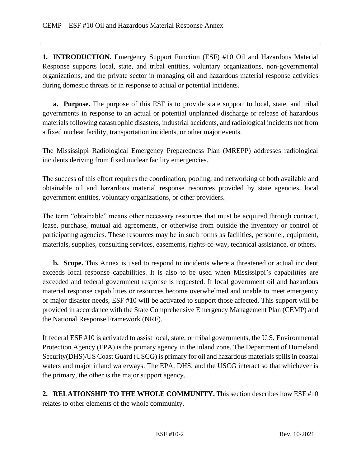**1. INTRODUCTION.** Emergency Support Function (ESF) #10 Oil and Hazardous Material Response supports local, state, and tribal entities, voluntary organizations, non-governmental organizations, and the private sector in managing oil and hazardous material response activities during domestic threats or in response to actual or potential incidents.

**a. Purpose.** The purpose of this ESF is to provide state support to local, state, and tribal governments in response to an actual or potential unplanned discharge or release of hazardous materials following catastrophic disasters, industrial accidents, and radiological incidents not from a fixed nuclear facility, transportation incidents, or other major events.

The Mississippi Radiological Emergency Preparedness Plan (MREPP) addresses radiological incidents deriving from fixed nuclear facility emergencies.

The success of this effort requires the coordination, pooling, and networking of both available and obtainable oil and hazardous material response resources provided by state agencies, local government entities, voluntary organizations, or other providers.

The term "obtainable" means other necessary resources that must be acquired through contract, lease, purchase, mutual aid agreements, or otherwise from outside the inventory or control of participating agencies. These resources may be in such forms as facilities, personnel, equipment, materials, supplies, consulting services, easements, rights-of-way, technical assistance, or others.

**b. Scope.** This Annex is used to respond to incidents where a threatened or actual incident exceeds local response capabilities. It is also to be used when Mississippi's capabilities are exceeded and federal government response is requested. If local government oil and hazardous material response capabilities or resources become overwhelmed and unable to meet emergency or major disaster needs, ESF #10 will be activated to support those affected. This support will be provided in accordance with the State Comprehensive Emergency Management Plan (CEMP) and the National Response Framework (NRF).

If federal ESF #10 is activated to assist local, state, or tribal governments, the U.S. Environmental Protection Agency (EPA) is the primary agency in the inland zone. The Department of Homeland Security(DHS)/US Coast Guard (USCG) is primary for oil and hazardous materials spills in coastal waters and major inland waterways. The EPA, DHS, and the USCG interact so that whichever is the primary, the other is the major support agency.

**2. RELATIONSHIP TO THE WHOLE COMMUNITY.** This section describes how ESF #10 relates to other elements of the whole community.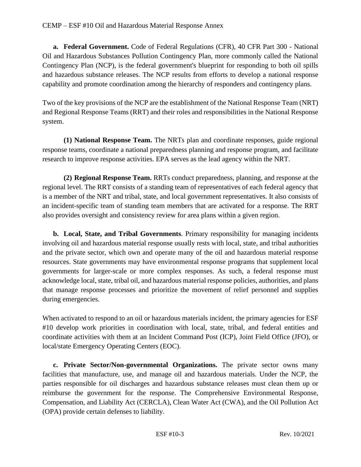**a. Federal Government.** Code of Federal Regulations (CFR), 40 CFR Part 300 - National Oil and Hazardous Substances Pollution Contingency Plan, more commonly called the National Contingency Plan (NCP), is the federal government's blueprint for responding to both oil spills and hazardous substance releases. The NCP results from efforts to develop a national response capability and promote coordination among the hierarchy of responders and contingency plans.

Two of the key provisions of the NCP are the establishment of the National Response Team (NRT) and Regional Response Teams (RRT) and their roles and responsibilities in the National Response system.

**(1) National Response Team.** The NRTs plan and coordinate responses, guide regional response teams, coordinate a national preparedness planning and response program, and facilitate research to improve response activities. EPA serves as the lead agency within the NRT.

**(2) Regional Response Team.** RRTs conduct preparedness, planning, and response at the regional level. The RRT consists of a standing team of representatives of each federal agency that is a member of the NRT and tribal, state, and local government representatives. It also consists of an incident-specific team of standing team members that are activated for a response. The RRT also provides oversight and consistency review for area plans within a given region.

**b. Local, State, and Tribal Governments**. Primary responsibility for managing incidents involving oil and hazardous material response usually rests with local, state, and tribal authorities and the private sector, which own and operate many of the oil and hazardous material response resources. State governments may have environmental response programs that supplement local governments for larger-scale or more complex responses. As such, a federal response must acknowledge local, state, tribal oil, and hazardous material response policies, authorities, and plans that manage response processes and prioritize the movement of relief personnel and supplies during emergencies.

When activated to respond to an oil or hazardous materials incident, the primary agencies for ESF #10 develop work priorities in coordination with local, state, tribal, and federal entities and coordinate activities with them at an Incident Command Post (ICP), Joint Field Office (JFO), or local/state Emergency Operating Centers (EOC).

**c. Private Sector/Non-governmental Organizations.** The private sector owns many facilities that manufacture, use, and manage oil and hazardous materials. Under the NCP, the parties responsible for oil discharges and hazardous substance releases must clean them up or reimburse the government for the response. The Comprehensive Environmental Response, Compensation, and Liability Act (CERCLA), Clean Water Act (CWA), and the Oil Pollution Act (OPA) provide certain defenses to liability.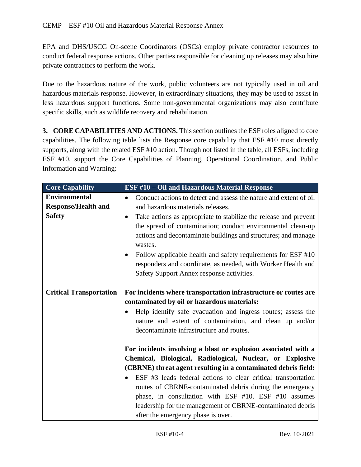EPA and DHS/USCG On-scene Coordinators (OSCs) employ private contractor resources to conduct federal response actions. Other parties responsible for cleaning up releases may also hire private contractors to perform the work.

Due to the hazardous nature of the work, public volunteers are not typically used in oil and hazardous materials response. However, in extraordinary situations, they may be used to assist in less hazardous support functions. Some non-governmental organizations may also contribute specific skills, such as wildlife recovery and rehabilitation.

**3. CORE CAPABILITIES AND ACTIONS.** This section outlines the ESF roles aligned to core capabilities. The following table lists the Response core capability that ESF #10 most directly supports, along with the related ESF #10 action. Though not listed in the table, all ESFs, including ESF #10, support the Core Capabilities of Planning, Operational Coordination, and Public Information and Warning:

| <b>Core Capability</b>         | <b>ESF #10 - Oil and Hazardous Material Response</b>                           |
|--------------------------------|--------------------------------------------------------------------------------|
| <b>Environmental</b>           | Conduct actions to detect and assess the nature and extent of oil<br>$\bullet$ |
| <b>Response/Health and</b>     | and hazardous materials releases.                                              |
| <b>Safety</b>                  | Take actions as appropriate to stabilize the release and prevent<br>$\bullet$  |
|                                | the spread of contamination; conduct environmental clean-up                    |
|                                | actions and decontaminate buildings and structures; and manage                 |
|                                | wastes.                                                                        |
|                                | Follow applicable health and safety requirements for ESF #10                   |
|                                | responders and coordinate, as needed, with Worker Health and                   |
|                                | Safety Support Annex response activities.                                      |
|                                |                                                                                |
| <b>Critical Transportation</b> | For incidents where transportation infrastructure or routes are                |
|                                | contaminated by oil or hazardous materials:                                    |
|                                | Help identify safe evacuation and ingress routes; assess the                   |
|                                | nature and extent of contamination, and clean up and/or                        |
|                                | decontaminate infrastructure and routes.                                       |
|                                |                                                                                |
|                                | For incidents involving a blast or explosion associated with a                 |
|                                | Chemical, Biological, Radiological, Nuclear, or Explosive                      |
|                                | (CBRNE) threat agent resulting in a contaminated debris field:                 |
|                                | ESF #3 leads federal actions to clear critical transportation                  |
|                                | routes of CBRNE-contaminated debris during the emergency                       |
|                                | phase, in consultation with ESF #10. ESF #10 assumes                           |
|                                | leadership for the management of CBRNE-contaminated debris                     |
|                                | after the emergency phase is over.                                             |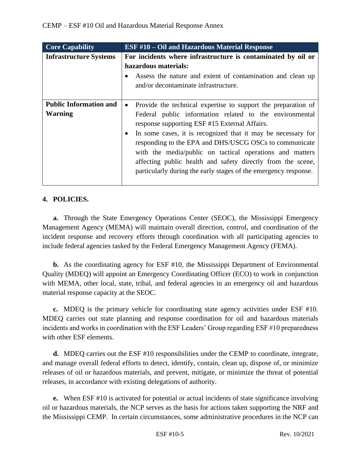| <b>Core Capability</b>                          | <b>ESF #10 – Oil and Hazardous Material Response</b>                                                                                                                                                                                                                                                                                                                                                                                                                                                           |
|-------------------------------------------------|----------------------------------------------------------------------------------------------------------------------------------------------------------------------------------------------------------------------------------------------------------------------------------------------------------------------------------------------------------------------------------------------------------------------------------------------------------------------------------------------------------------|
| <b>Infrastructure Systems</b>                   | For incidents where infrastructure is contaminated by oil or<br>hazardous materials:<br>Assess the nature and extent of contamination and clean up<br>and/or decontaminate infrastructure.                                                                                                                                                                                                                                                                                                                     |
| <b>Public Information and</b><br><b>Warning</b> | Provide the technical expertise to support the preparation of<br>$\bullet$<br>Federal public information related to the environmental<br>response supporting ESF #15 External Affairs.<br>In some cases, it is recognized that it may be necessary for<br>responding to the EPA and DHS/USCG OSCs to communicate<br>with the media/public on tactical operations and matters<br>affecting public health and safety directly from the scene,<br>particularly during the early stages of the emergency response. |

# **4. POLICIES.**

**a.** Through the State Emergency Operations Center (SEOC), the Mississippi Emergency Management Agency (MEMA) will maintain overall direction, control, and coordination of the incident response and recovery efforts through coordination with all participating agencies to include federal agencies tasked by the Federal Emergency Management Agency (FEMA).

**b.** As the coordinating agency for ESF #10, the Mississippi Department of Environmental Quality (MDEQ) will appoint an Emergency Coordinating Officer (ECO) to work in conjunction with MEMA, other local, state, tribal, and federal agencies in an emergency oil and hazardous material response capacity at the SEOC.

**c.** MDEQ is the primary vehicle for coordinating state agency activities under ESF #10. MDEQ carries out state planning and response coordination for oil and hazardous materials incidents and works in coordination with the ESF Leaders' Group regarding ESF #10 preparedness with other ESF elements.

**d.** MDEQ carries out the ESF #10 responsibilities under the CEMP to coordinate, integrate, and manage overall federal efforts to detect, identify, contain, clean up, dispose of, or minimize releases of oil or hazardous materials, and prevent, mitigate, or minimize the threat of potential releases, in accordance with existing delegations of authority.

**e.** When ESF #10 is activated for potential or actual incidents of state significance involving oil or hazardous materials, the NCP serves as the basis for actions taken supporting the NRF and the Mississippi CEMP. In certain circumstances, some administrative procedures in the NCP can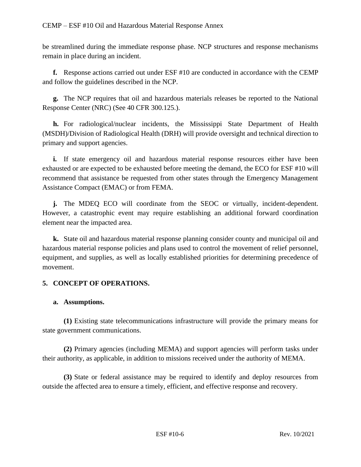be streamlined during the immediate response phase. NCP structures and response mechanisms remain in place during an incident.

**f.** Response actions carried out under ESF #10 are conducted in accordance with the CEMP and follow the guidelines described in the NCP.

**g.** The NCP requires that oil and hazardous materials releases be reported to the National Response Center (NRC) (See 40 CFR 300.125.).

**h.** For radiological/nuclear incidents, the Mississippi State Department of Health (MSDH)/Division of Radiological Health (DRH) will provide oversight and technical direction to primary and support agencies.

**i.** If state emergency oil and hazardous material response resources either have been exhausted or are expected to be exhausted before meeting the demand, the ECO for ESF #10 will recommend that assistance be requested from other states through the Emergency Management Assistance Compact (EMAC) or from FEMA.

**j.** The MDEQ ECO will coordinate from the SEOC or virtually, incident-dependent. However, a catastrophic event may require establishing an additional forward coordination element near the impacted area.

**k.** State oil and hazardous material response planning consider county and municipal oil and hazardous material response policies and plans used to control the movement of relief personnel, equipment, and supplies, as well as locally established priorities for determining precedence of movement.

# **5. CONCEPT OF OPERATIONS.**

### **a. Assumptions.**

**(1)** Existing state telecommunications infrastructure will provide the primary means for state government communications.

**(2)** Primary agencies (including MEMA) and support agencies will perform tasks under their authority, as applicable, in addition to missions received under the authority of MEMA.

**(3)** State or federal assistance may be required to identify and deploy resources from outside the affected area to ensure a timely, efficient, and effective response and recovery.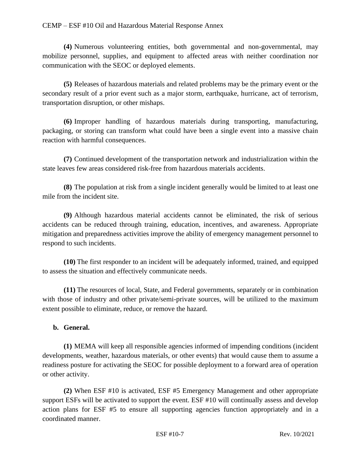#### CEMP – ESF #10 Oil and Hazardous Material Response Annex

**(4)** Numerous volunteering entities, both governmental and non-governmental, may mobilize personnel, supplies, and equipment to affected areas with neither coordination nor communication with the SEOC or deployed elements.

**(5)** Releases of hazardous materials and related problems may be the primary event or the secondary result of a prior event such as a major storm, earthquake, hurricane, act of terrorism, transportation disruption, or other mishaps.

**(6)** Improper handling of hazardous materials during transporting, manufacturing, packaging, or storing can transform what could have been a single event into a massive chain reaction with harmful consequences.

**(7)** Continued development of the transportation network and industrialization within the state leaves few areas considered risk-free from hazardous materials accidents.

**(8)** The population at risk from a single incident generally would be limited to at least one mile from the incident site.

**(9)** Although hazardous material accidents cannot be eliminated, the risk of serious accidents can be reduced through training, education, incentives, and awareness. Appropriate mitigation and preparedness activities improve the ability of emergency management personnel to respond to such incidents.

**(10)** The first responder to an incident will be adequately informed, trained, and equipped to assess the situation and effectively communicate needs.

**(11)** The resources of local, State, and Federal governments, separately or in combination with those of industry and other private/semi-private sources, will be utilized to the maximum extent possible to eliminate, reduce, or remove the hazard.

### **b. General.**

**(1)** MEMA will keep all responsible agencies informed of impending conditions (incident developments, weather, hazardous materials, or other events) that would cause them to assume a readiness posture for activating the SEOC for possible deployment to a forward area of operation or other activity.

**(2)** When ESF #10 is activated, ESF #5 Emergency Management and other appropriate support ESFs will be activated to support the event. ESF #10 will continually assess and develop action plans for ESF #5 to ensure all supporting agencies function appropriately and in a coordinated manner.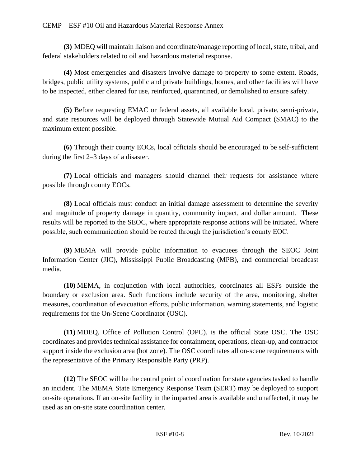**(3)** MDEQ will maintain liaison and coordinate/manage reporting of local, state, tribal, and federal stakeholders related to oil and hazardous material response.

**(4)** Most emergencies and disasters involve damage to property to some extent. Roads, bridges, public utility systems, public and private buildings, homes, and other facilities will have to be inspected, either cleared for use, reinforced, quarantined, or demolished to ensure safety.

**(5)** Before requesting EMAC or federal assets, all available local, private, semi-private, and state resources will be deployed through Statewide Mutual Aid Compact (SMAC) to the maximum extent possible.

**(6)** Through their county EOCs, local officials should be encouraged to be self-sufficient during the first 2–3 days of a disaster.

**(7)** Local officials and managers should channel their requests for assistance where possible through county EOCs.

**(8)** Local officials must conduct an initial damage assessment to determine the severity and magnitude of property damage in quantity, community impact, and dollar amount. These results will be reported to the SEOC, where appropriate response actions will be initiated. Where possible, such communication should be routed through the jurisdiction's county EOC.

**(9)** MEMA will provide public information to evacuees through the SEOC Joint Information Center (JIC), Mississippi Public Broadcasting (MPB), and commercial broadcast media.

**(10)** MEMA, in conjunction with local authorities, coordinates all ESFs outside the boundary or exclusion area. Such functions include security of the area, monitoring, shelter measures, coordination of evacuation efforts, public information, warning statements, and logistic requirements for the On-Scene Coordinator (OSC).

**(11)** MDEQ, Office of Pollution Control (OPC), is the official State OSC. The OSC coordinates and provides technical assistance for containment, operations, clean-up, and contractor support inside the exclusion area (hot zone). The OSC coordinates all on-scene requirements with the representative of the Primary Responsible Party (PRP).

**(12)** The SEOC will be the central point of coordination for state agencies tasked to handle an incident. The MEMA State Emergency Response Team (SERT) may be deployed to support on-site operations. If an on-site facility in the impacted area is available and unaffected, it may be used as an on-site state coordination center.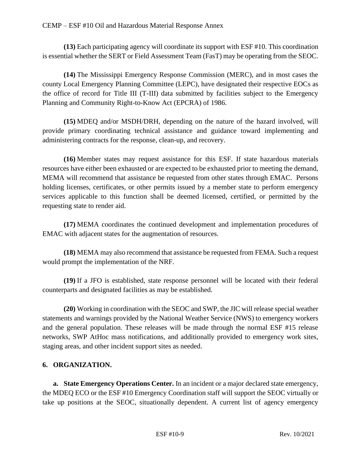**(13)** Each participating agency will coordinate its support with ESF #10. This coordination is essential whether the SERT or Field Assessment Team (FasT) may be operating from the SEOC.

**(14)** The Mississippi Emergency Response Commission (MERC), and in most cases the county Local Emergency Planning Committee (LEPC), have designated their respective EOCs as the office of record for Title III (T-III) data submitted by facilities subject to the Emergency Planning and Community Right-to-Know Act (EPCRA) of 1986.

**(15)** MDEQ and/or MSDH/DRH, depending on the nature of the hazard involved, will provide primary coordinating technical assistance and guidance toward implementing and administering contracts for the response, clean-up, and recovery.

**(16)** Member states may request assistance for this ESF. If state hazardous materials resources have either been exhausted or are expected to be exhausted prior to meeting the demand, MEMA will recommend that assistance be requested from other states through EMAC. Persons holding licenses, certificates, or other permits issued by a member state to perform emergency services applicable to this function shall be deemed licensed, certified, or permitted by the requesting state to render aid.

**(17)** MEMA coordinates the continued development and implementation procedures of EMAC with adjacent states for the augmentation of resources.

**(18)** MEMA may also recommend that assistance be requested from FEMA. Such a request would prompt the implementation of the NRF.

**(19)** If a JFO is established, state response personnel will be located with their federal counterparts and designated facilities as may be established.

**(20)** Working in coordination with the SEOC and SWP, the JIC will release special weather statements and warnings provided by the National Weather Service (NWS) to emergency workers and the general population. These releases will be made through the normal ESF #15 release networks, SWP AtHoc mass notifications, and additionally provided to emergency work sites, staging areas, and other incident support sites as needed.

# **6. ORGANIZATION.**

**a. State Emergency Operations Center.** In an incident or a major declared state emergency, the MDEQ ECO or the ESF #10 Emergency Coordination staff will support the SEOC virtually or take up positions at the SEOC, situationally dependent. A current list of agency emergency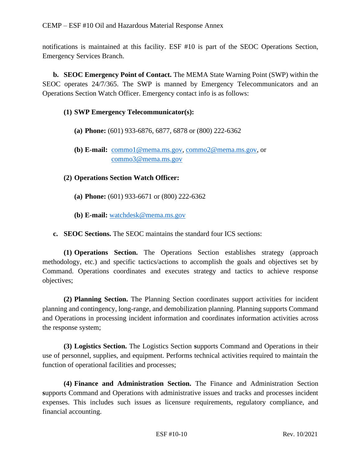notifications is maintained at this facility. ESF #10 is part of the SEOC Operations Section, Emergency Services Branch.

**b. SEOC Emergency Point of Contact.** The MEMA State Warning Point (SWP) within the SEOC operates 24/7/365. The SWP is manned by Emergency Telecommunicators and an Operations Section Watch Officer. Emergency contact info is as follows:

### **(1) SWP Emergency Telecommunicator(s):**

- **(a) Phone:** (601) 933-6876, 6877, 6878 or (800) 222-6362
- **(b) E-mail:** [commo1@mema.ms.gov,](mailto:commo1@mema.ms.gov) [commo2@mema.ms.gov,](mailto:commo2@mema.ms.gov) or [commo3@mema.ms.gov](mailto:commo3@mema.ms.gov)

## **(2) Operations Section Watch Officer:**

- **(a) Phone:** (601) 933-6671 or (800) 222-6362
- **(b) E-mail:** [watchdesk@mema.ms.gov](mailto:watchdesk@mema.ms.gov)

**c. SEOC Sections.** The SEOC maintains the standard four ICS sections:

**(1) Operations Section.** The Operations Section establishes strategy (approach methodology, etc.) and specific tactics/actions to accomplish the goals and objectives set by Command. Operations coordinates and executes strategy and tactics to achieve response objectives;

**(2) Planning Section.** The Planning Section coordinates support activities for incident planning and contingency, long-range, and demobilization planning. Planning supports Command and Operations in processing incident information and coordinates information activities across the response system;

**(3) Logistics Section.** The Logistics Section **s**upports Command and Operations in their use of personnel, supplies, and equipment. Performs technical activities required to maintain the function of operational facilities and processes;

**(4) Finance and Administration Section.** The Finance and Administration Section **s**upports Command and Operations with administrative issues and tracks and processes incident expenses. This includes such issues as licensure requirements, regulatory compliance, and financial accounting.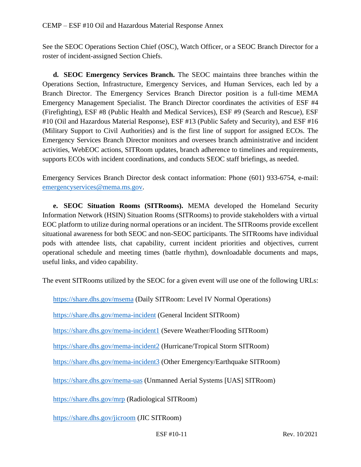See the SEOC Operations Section Chief (OSC), Watch Officer, or a SEOC Branch Director for a roster of incident-assigned Section Chiefs.

**d. SEOC Emergency Services Branch.** The SEOC maintains three branches within the Operations Section, Infrastructure, Emergency Services, and Human Services, each led by a Branch Director. The Emergency Services Branch Director position is a full-time MEMA Emergency Management Specialist. The Branch Director coordinates the activities of ESF #4 (Firefighting), ESF #8 (Public Health and Medical Services), ESF #9 (Search and Rescue), ESF #10 (Oil and Hazardous Material Response), ESF #13 (Public Safety and Security), and ESF #16 (Military Support to Civil Authorities) and is the first line of support for assigned ECOs. The Emergency Services Branch Director monitors and oversees branch administrative and incident activities, WebEOC actions, SITRoom updates, branch adherence to timelines and requirements, supports ECOs with incident coordinations, and conducts SEOC staff briefings, as needed.

Emergency Services Branch Director desk contact information: Phone (601) 933-6754, e-mail: [emergencyservices@mema.ms.gov.](mailto:emergencyservices@mema.ms.gov)

**e. SEOC Situation Rooms (SITRooms).** MEMA developed the Homeland Security Information Network (HSIN) Situation Rooms (SITRooms) to provide stakeholders with a virtual EOC platform to utilize during normal operations or an incident. The SITRooms provide excellent situational awareness for both SEOC and non-SEOC participants. The SITRooms have individual pods with attendee lists, chat capability, current incident priorities and objectives, current operational schedule and meeting times (battle rhythm), downloadable documents and maps, useful links, and video capability.

The event SITRooms utilized by the SEOC for a given event will use one of the following URLs:

<https://share.dhs.gov/msema> (Daily SITRoom: Level IV Normal Operations)

<https://share.dhs.gov/mema-incident> (General Incident SITRoom)

<https://share.dhs.gov/mema-incident1> (Severe Weather/Flooding SITRoom)

<https://share.dhs.gov/mema-incident2> (Hurricane/Tropical Storm SITRoom)

<https://share.dhs.gov/mema-incident3> (Other Emergency/Earthquake SITRoom)

<https://share.dhs.gov/mema-uas> (Unmanned Aerial Systems [UAS] SITRoom)

<https://share.dhs.gov/mrp> (Radiological SITRoom)

<https://share.dhs.gov/jicroom> (JIC SITRoom)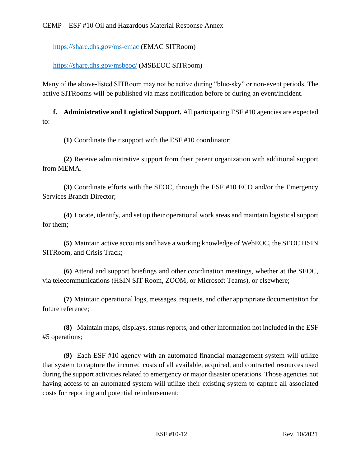<https://share.dhs.gov/ms-emac> (EMAC SITRoom)

<https://share.dhs.gov/msbeoc/> (MSBEOC SITRoom)

Many of the above-listed SITRoom may not be active during "blue-sky" or non-event periods. The active SITRooms will be published via mass notification before or during an event/incident.

**f. Administrative and Logistical Support.** All participating ESF #10 agencies are expected to:

**(1)** Coordinate their support with the ESF #10 coordinator;

**(2)** Receive administrative support from their parent organization with additional support from MEMA.

**(3)** Coordinate efforts with the SEOC, through the ESF #10 ECO and/or the Emergency Services Branch Director;

**(4)** Locate, identify, and set up their operational work areas and maintain logistical support for them;

**(5)** Maintain active accounts and have a working knowledge of WebEOC, the SEOC HSIN SITRoom, and Crisis Track;

**(6)** Attend and support briefings and other coordination meetings, whether at the SEOC, via telecommunications (HSIN SIT Room, ZOOM, or Microsoft Teams), or elsewhere;

**(7)** Maintain operational logs, messages, requests, and other appropriate documentation for future reference;

**(8)** Maintain maps, displays, status reports, and other information not included in the ESF #5 operations;

**(9)** Each ESF #10 agency with an automated financial management system will utilize that system to capture the incurred costs of all available, acquired, and contracted resources used during the support activities related to emergency or major disaster operations. Those agencies not having access to an automated system will utilize their existing system to capture all associated costs for reporting and potential reimbursement;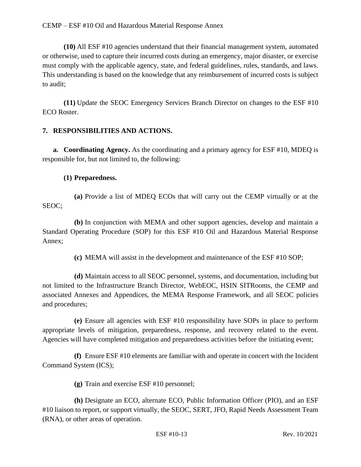#### CEMP – ESF #10 Oil and Hazardous Material Response Annex

**(10)** All ESF #10 agencies understand that their financial management system, automated or otherwise, used to capture their incurred costs during an emergency, major disaster, or exercise must comply with the applicable agency, state, and federal guidelines, rules, standards, and laws. This understanding is based on the knowledge that any reimbursement of incurred costs is subject to audit;

**(11)** Update the SEOC Emergency Services Branch Director on changes to the ESF #10 ECO Roster.

### **7. RESPONSIBILITIES AND ACTIONS.**

**a. Coordinating Agency.** As the coordinating and a primary agency for ESF #10, MDEQ is responsible for, but not limited to, the following:

### **(1) Preparedness.**

**(a)** Provide a list of MDEQ ECOs that will carry out the CEMP virtually or at the SEOC;

**(b)** In conjunction with MEMA and other support agencies, develop and maintain a Standard Operating Procedure (SOP) for this ESF #10 Oil and Hazardous Material Response Annex;

**(c)** MEMA will assist in the development and maintenance of the ESF #10 SOP;

**(d)** Maintain access to all SEOC personnel, systems, and documentation, including but not limited to the Infrastructure Branch Director, WebEOC, HSIN SITRooms, the CEMP and associated Annexes and Appendices, the MEMA Response Framework, and all SEOC policies and procedures;

**(e)** Ensure all agencies with ESF #10 responsibility have SOPs in place to perform appropriate levels of mitigation, preparedness, response, and recovery related to the event. Agencies will have completed mitigation and preparedness activities before the initiating event;

**(f)** Ensure ESF #10 elements are familiar with and operate in concert with the Incident Command System (ICS);

**(g)** Train and exercise ESF #10 personnel;

**(h)** Designate an ECO, alternate ECO, Public Information Officer (PIO), and an ESF #10 liaison to report, or support virtually, the SEOC, SERT, JFO, Rapid Needs Assessment Team (RNA), or other areas of operation.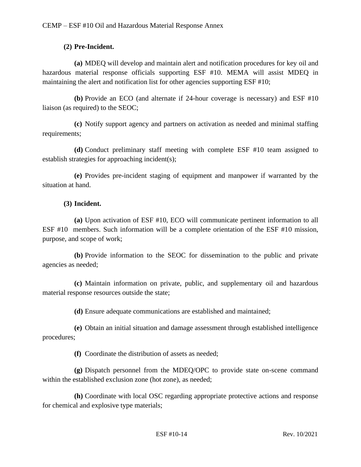## **(2) Pre-Incident.**

**(a)** MDEQ will develop and maintain alert and notification procedures for key oil and hazardous material response officials supporting ESF #10. MEMA will assist MDEQ in maintaining the alert and notification list for other agencies supporting ESF #10;

**(b)** Provide an ECO (and alternate if 24-hour coverage is necessary) and ESF #10 liaison (as required) to the SEOC;

**(c)** Notify support agency and partners on activation as needed and minimal staffing requirements;

**(d)** Conduct preliminary staff meeting with complete ESF #10 team assigned to establish strategies for approaching incident(s);

**(e)** Provides pre-incident staging of equipment and manpower if warranted by the situation at hand.

## **(3) Incident.**

**(a)** Upon activation of ESF #10, ECO will communicate pertinent information to all ESF #10 members. Such information will be a complete orientation of the ESF #10 mission, purpose, and scope of work;

**(b)** Provide information to the SEOC for dissemination to the public and private agencies as needed;

**(c)** Maintain information on private, public, and supplementary oil and hazardous material response resources outside the state;

**(d)** Ensure adequate communications are established and maintained;

**(e)** Obtain an initial situation and damage assessment through established intelligence procedures;

**(f)** Coordinate the distribution of assets as needed;

**(g)** Dispatch personnel from the MDEQ/OPC to provide state on-scene command within the established exclusion zone (hot zone), as needed;

**(h)** Coordinate with local OSC regarding appropriate protective actions and response for chemical and explosive type materials;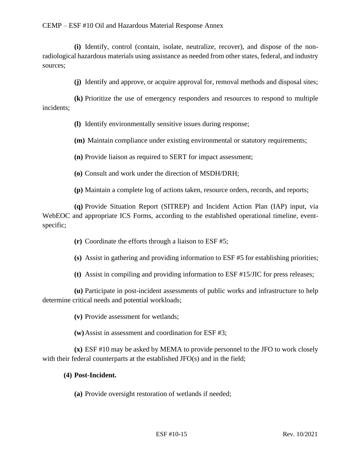**(i)** Identify, control (contain, isolate, neutralize, recover), and dispose of the nonradiological hazardous materials using assistance as needed from other states, federal, and industry sources;

**(j)** Identify and approve, or acquire approval for, removal methods and disposal sites;

**(k)** Prioritize the use of emergency responders and resources to respond to multiple incidents;

**(l)** Identify environmentally sensitive issues during response;

**(m)** Maintain compliance under existing environmental or statutory requirements;

**(n)** Provide liaison as required to SERT for impact assessment;

**(o)** Consult and work under the direction of MSDH/DRH;

**(p)** Maintain a complete log of actions taken, resource orders, records, and reports;

**(q)** Provide Situation Report (SITREP) and Incident Action Plan (IAP) input, via WebEOC and appropriate ICS Forms, according to the established operational timeline, eventspecific;

**(r)** Coordinate the efforts through a liaison to ESF #5;

**(s)** Assist in gathering and providing information to ESF #5 for establishing priorities;

**(t)** Assist in compiling and providing information to ESF #15/JIC for press releases;

**(u)** Participate in post-incident assessments of public works and infrastructure to help determine critical needs and potential workloads;

**(v)** Provide assessment for wetlands;

**(w)**Assist in assessment and coordination for ESF #3;

**(x)** ESF #10 may be asked by MEMA to provide personnel to the JFO to work closely with their federal counterparts at the established JFO(s) and in the field;

### **(4) Post-Incident.**

**(a)** Provide oversight restoration of wetlands if needed;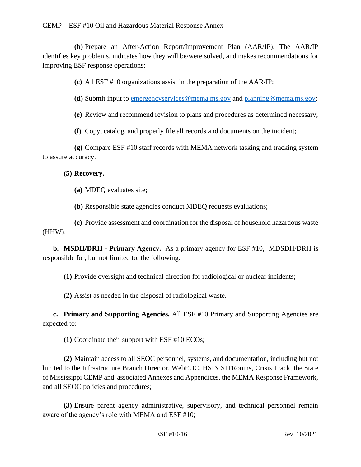**(b)** Prepare an After-Action Report/Improvement Plan (AAR/IP). The AAR/IP identifies key problems, indicates how they will be/were solved, and makes recommendations for improving ESF response operations;

**(c)** All ESF #10 organizations assist in the preparation of the AAR/IP;

**(d)** Submit input to [emergencyservices@mema.ms.gov](mailto:infrastructure@mema.ms.gov) and [planning@mema.ms.gov;](mailto:planning@mema.ms.gov)

**(e)** Review and recommend revision to plans and procedures as determined necessary;

**(f)** Copy, catalog, and properly file all records and documents on the incident;

**(g)** Compare ESF #10 staff records with MEMA network tasking and tracking system to assure accuracy.

## **(5) Recovery.**

**(a)** MDEQ evaluates site;

**(b)** Responsible state agencies conduct MDEQ requests evaluations;

**(c)** Provide assessment and coordination for the disposal of household hazardous waste (HHW).

**b. MSDH/DRH - Primary Agency.** As a primary agency for ESF #10, MDSDH/DRH is responsible for, but not limited to, the following:

**(1)** Provide oversight and technical direction for radiological or nuclear incidents;

**(2)** Assist as needed in the disposal of radiological waste.

**c. Primary and Supporting Agencies.** All ESF #10 Primary and Supporting Agencies are expected to:

**(1)** Coordinate their support with ESF #10 ECOs;

**(2)** Maintain access to all SEOC personnel, systems, and documentation, including but not limited to the Infrastructure Branch Director, WebEOC, HSIN SITRooms, Crisis Track, the State of Mississippi CEMP and associated Annexes and Appendices, the MEMA Response Framework, and all SEOC policies and procedures;

**(3)** Ensure parent agency administrative, supervisory, and technical personnel remain aware of the agency's role with MEMA and ESF #10;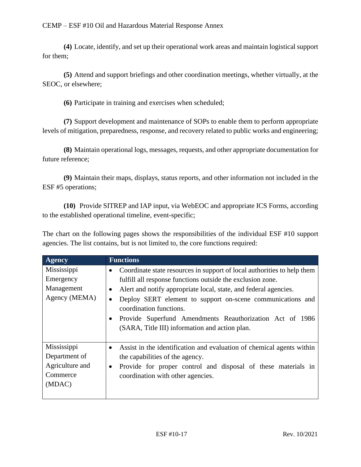**(4)** Locate, identify, and set up their operational work areas and maintain logistical support for them;

**(5)** Attend and support briefings and other coordination meetings, whether virtually, at the SEOC, or elsewhere;

**(6)** Participate in training and exercises when scheduled;

**(7)** Support development and maintenance of SOPs to enable them to perform appropriate levels of mitigation, preparedness, response, and recovery related to public works and engineering;

**(8)** Maintain operational logs, messages, requests, and other appropriate documentation for future reference;

**(9)** Maintain their maps, displays, status reports, and other information not included in the ESF #5 operations;

**(10)** Provide SITREP and IAP input, via WebEOC and appropriate ICS Forms, according to the established operational timeline, event-specific;

The chart on the following pages shows the responsibilities of the individual ESF #10 support agencies. The list contains, but is not limited to, the core functions required:

| <b>Agency</b>                                                         | <b>Functions</b>                                                                                                                                                                                                                                                                                                                                                                                                                                             |
|-----------------------------------------------------------------------|--------------------------------------------------------------------------------------------------------------------------------------------------------------------------------------------------------------------------------------------------------------------------------------------------------------------------------------------------------------------------------------------------------------------------------------------------------------|
| Mississippi<br>Emergency<br>Management<br>Agency (MEMA)               | Coordinate state resources in support of local authorities to help them<br>٠<br>fulfill all response functions outside the exclusion zone.<br>Alert and notify appropriate local, state, and federal agencies.<br>$\bullet$<br>Deploy SERT element to support on-scene communications and<br>$\bullet$<br>coordination functions.<br>Provide Superfund Amendments Reauthorization Act of 1986<br>$\bullet$<br>(SARA, Title III) information and action plan. |
| Mississippi<br>Department of<br>Agriculture and<br>Commerce<br>(MDAC) | Assist in the identification and evaluation of chemical agents within<br>$\bullet$<br>the capabilities of the agency.<br>Provide for proper control and disposal of these materials in<br>٠<br>coordination with other agencies.                                                                                                                                                                                                                             |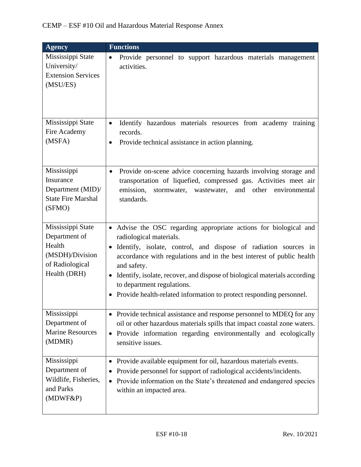| <b>Agency</b>                                                                                      | <b>Functions</b>                                                                                                                                                                                                                                                                                                                                                                                                                                       |
|----------------------------------------------------------------------------------------------------|--------------------------------------------------------------------------------------------------------------------------------------------------------------------------------------------------------------------------------------------------------------------------------------------------------------------------------------------------------------------------------------------------------------------------------------------------------|
| Mississippi State<br>University/<br><b>Extension Services</b><br>(MSU/ES)                          | Provide personnel to support hazardous materials management<br>$\bullet$<br>activities.                                                                                                                                                                                                                                                                                                                                                                |
| Mississippi State<br>Fire Academy<br>(MSFA)                                                        | Identify hazardous materials resources from academy<br>training<br>$\bullet$<br>records.<br>Provide technical assistance in action planning.<br>$\bullet$                                                                                                                                                                                                                                                                                              |
| Mississippi<br>Insurance<br>Department (MID)/<br><b>State Fire Marshal</b><br>(SFMO)               | Provide on-scene advice concerning hazards involving storage and<br>$\bullet$<br>transportation of liquefied, compressed gas. Activities meet air<br>and other<br>emission,<br>stormwater, wastewater,<br>environmental<br>standards.                                                                                                                                                                                                                  |
| Mississippi State<br>Department of<br>Health<br>(MSDH)/Division<br>of Radiological<br>Health (DRH) | • Advise the OSC regarding appropriate actions for biological and<br>radiological materials.<br>Identify, isolate, control, and dispose of radiation sources in<br>accordance with regulations and in the best interest of public health<br>and safety.<br>Identify, isolate, recover, and dispose of biological materials according<br>$\bullet$<br>to department regulations.<br>Provide health-related information to protect responding personnel. |
| Mississippi<br>Department of<br><b>Marine Resources</b><br>(MDMR)                                  | • Provide technical assistance and response personnel to MDEQ for any<br>oil or other hazardous materials spills that impact coastal zone waters.<br>Provide information regarding environmentally and ecologically<br>$\bullet$<br>sensitive issues.                                                                                                                                                                                                  |
| Mississippi<br>Department of<br>Wildlife, Fisheries,<br>and Parks<br>(MDWF&P)                      | Provide available equipment for oil, hazardous materials events.<br>Provide personnel for support of radiological accidents/incidents.<br>Provide information on the State's threatened and endangered species<br>$\bullet$<br>within an impacted area.                                                                                                                                                                                                |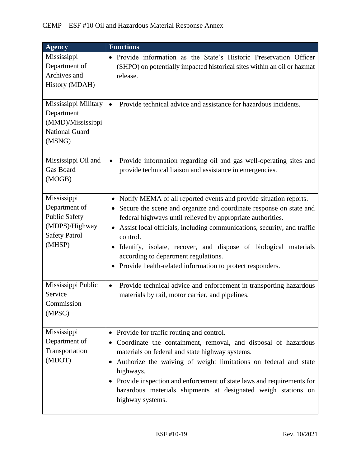| <b>Agency</b>                                                                                            | <b>Functions</b>                                                                                                                                                                                                                                                                                                                                                                                                                                                                                             |
|----------------------------------------------------------------------------------------------------------|--------------------------------------------------------------------------------------------------------------------------------------------------------------------------------------------------------------------------------------------------------------------------------------------------------------------------------------------------------------------------------------------------------------------------------------------------------------------------------------------------------------|
| Mississippi<br>Department of<br>Archives and<br>History (MDAH)                                           | Provide information as the State's Historic Preservation Officer<br>$\bullet$<br>(SHPO) on potentially impacted historical sites within an oil or hazmat<br>release.                                                                                                                                                                                                                                                                                                                                         |
| Mississippi Military<br>Department<br>(MMD)/Mississippi<br><b>National Guard</b><br>(MSNG)               | Provide technical advice and assistance for hazardous incidents.<br>$\bullet$                                                                                                                                                                                                                                                                                                                                                                                                                                |
| Mississippi Oil and<br><b>Gas Board</b><br>(MOGB)                                                        | Provide information regarding oil and gas well-operating sites and<br>$\bullet$<br>provide technical liaison and assistance in emergencies.                                                                                                                                                                                                                                                                                                                                                                  |
| Mississippi<br>Department of<br><b>Public Safety</b><br>(MDPS)/Highway<br><b>Safety Patrol</b><br>(MHSP) | Notify MEMA of all reported events and provide situation reports.<br>$\bullet$<br>Secure the scene and organize and coordinate response on state and<br>federal highways until relieved by appropriate authorities.<br>Assist local officials, including communications, security, and traffic<br>$\bullet$<br>control.<br>Identify, isolate, recover, and dispose of biological materials<br>$\bullet$<br>according to department regulations.<br>Provide health-related information to protect responders. |
| Mississippi Public<br>Service<br>Commission<br>(MPSC)                                                    | Provide technical advice and enforcement in transporting hazardous<br>$\bullet$<br>materials by rail, motor carrier, and pipelines.                                                                                                                                                                                                                                                                                                                                                                          |
| Mississippi<br>Department of<br>Transportation<br>(MDOT)                                                 | Provide for traffic routing and control.<br>$\bullet$<br>Coordinate the containment, removal, and disposal of hazardous<br>materials on federal and state highway systems.<br>Authorize the waiving of weight limitations on federal and state<br>$\bullet$<br>highways.<br>Provide inspection and enforcement of state laws and requirements for<br>hazardous materials shipments at designated weigh stations on<br>highway systems.                                                                       |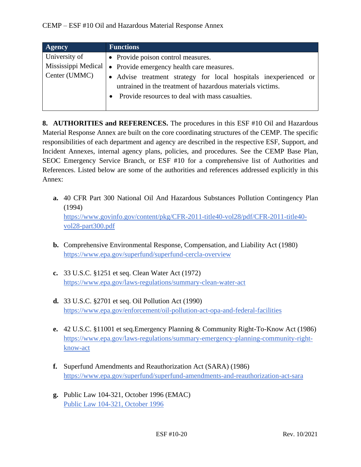| <b>Agency</b>       | <b>Functions</b>                                                 |
|---------------------|------------------------------------------------------------------|
| University of       | • Provide poison control measures.                               |
| Mississippi Medical | Provide emergency health care measures.<br>$\bullet$             |
| Center (UMMC)       | • Advise treatment strategy for local hospitals inexperienced or |
|                     | untrained in the treatment of hazardous materials victims.       |
|                     | Provide resources to deal with mass casualties.                  |
|                     |                                                                  |

**8. AUTHORITIES and REFERENCES.** The procedures in this ESF #10 Oil and Hazardous Material Response Annex are built on the core coordinating structures of the CEMP. The specific responsibilities of each department and agency are described in the respective ESF, Support, and Incident Annexes, internal agency plans, policies, and procedures. See the CEMP Base Plan, SEOC Emergency Service Branch, or ESF #10 for a comprehensive list of Authorities and References. Listed below are some of the authorities and references addressed explicitly in this Annex:

- **a.** 40 CFR Part 300 National Oil And Hazardous Substances Pollution Contingency Plan (1994) [https://www.govinfo.gov/content/pkg/CFR-2011-title40-vol28/pdf/CFR-2011-title40](https://www.govinfo.gov/content/pkg/CFR-2011-title40-vol28/pdf/CFR-2011-title40-vol28-part300.pdf) [vol28-part300.pdf](https://www.govinfo.gov/content/pkg/CFR-2011-title40-vol28/pdf/CFR-2011-title40-vol28-part300.pdf)
- **b.** Comprehensive Environmental Response, Compensation, and Liability Act (1980) <https://www.epa.gov/superfund/superfund-cercla-overview>
- **c.** 33 U.S.C. §1251 et seq. Clean Water Act (1972) <https://www.epa.gov/laws-regulations/summary-clean-water-act>
- **d.** 33 U.S.C. §2701 et seq. Oil Pollution Act (1990) <https://www.epa.gov/enforcement/oil-pollution-act-opa-and-federal-facilities>
- **e.** 42 U.S.C. §11001 et seq.Emergency Planning & Community Right-To-Know Act (1986) [https://www.epa.gov/laws-regulations/summary-emergency-planning-community-right](https://www.epa.gov/laws-regulations/summary-emergency-planning-community-right-know-act)[know-act](https://www.epa.gov/laws-regulations/summary-emergency-planning-community-right-know-act)
- **f.** Superfund Amendments and Reauthorization Act (SARA) (1986) <https://www.epa.gov/superfund/superfund-amendments-and-reauthorization-act-sara>
- **g.** Public Law 104-321, October 1996 (EMAC) [Public Law 104-321, October 1996](https://www.congress.gov/104/plaws/publ321/PLAW-104publ321.pdf)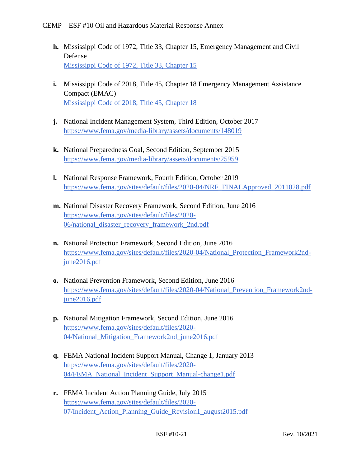- **h.** Mississippi Code of 1972, Title 33, Chapter 15, Emergency Management and Civil Defense [Mississippi Code of 1972, Title 33, Chapter 15](https://law.justia.com/codes/mississippi/2010/title-33/15/)
- **i.** Mississippi Code of 2018, Title 45, Chapter 18 Emergency Management Assistance Compact (EMAC) [Mississippi Code of 2018, Title 45, Chapter 18](https://law.justia.com/codes/mississippi/2018/title-45/chapter-18/)
- **j.** National Incident Management System, Third Edition, October 2017 <https://www.fema.gov/media-library/assets/documents/148019>
- **k.** National Preparedness Goal, Second Edition, September 2015 <https://www.fema.gov/media-library/assets/documents/25959>
- **l.** National Response Framework, Fourth Edition, October 2019 [https://www.fema.gov/sites/default/files/2020-04/NRF\\_FINALApproved\\_2011028.pdf](https://www.fema.gov/sites/default/files/2020-04/NRF_FINALApproved_2011028.pdf)
- **m.** National Disaster Recovery Framework, Second Edition, June 2016 [https://www.fema.gov/sites/default/files/2020-](https://www.fema.gov/sites/default/files/2020-06/national_disaster_recovery_framework_2nd.pdf) [06/national\\_disaster\\_recovery\\_framework\\_2nd.pdf](https://www.fema.gov/sites/default/files/2020-06/national_disaster_recovery_framework_2nd.pdf)
- **n.** National Protection Framework, Second Edition, June 2016 [https://www.fema.gov/sites/default/files/2020-04/National\\_Protection\\_Framework2nd](https://www.fema.gov/sites/default/files/2020-04/National_Protection_Framework2nd-june2016.pdf)[june2016.pdf](https://www.fema.gov/sites/default/files/2020-04/National_Protection_Framework2nd-june2016.pdf)
- **o.** National Prevention Framework, Second Edition, June 2016 [https://www.fema.gov/sites/default/files/2020-04/National\\_Prevention\\_Framework2nd](https://www.fema.gov/sites/default/files/2020-04/National_Prevention_Framework2nd-june2016.pdf)[june2016.pdf](https://www.fema.gov/sites/default/files/2020-04/National_Prevention_Framework2nd-june2016.pdf)
- **p.** National Mitigation Framework, Second Edition, June 2016 [https://www.fema.gov/sites/default/files/2020-](https://www.fema.gov/sites/default/files/2020-04/National_Mitigation_Framework2nd_june2016.pdf) [04/National\\_Mitigation\\_Framework2nd\\_june2016.pdf](https://www.fema.gov/sites/default/files/2020-04/National_Mitigation_Framework2nd_june2016.pdf)
- **q.** FEMA National Incident Support Manual, Change 1, January 2013 [https://www.fema.gov/sites/default/files/2020-](https://www.fema.gov/sites/default/files/2020-04/FEMA_National_Incident_Support_Manual-change1.pdf) [04/FEMA\\_National\\_Incident\\_Support\\_Manual-change1.pdf](https://www.fema.gov/sites/default/files/2020-04/FEMA_National_Incident_Support_Manual-change1.pdf)
- **r.** FEMA Incident Action Planning Guide, July 2015 [https://www.fema.gov/sites/default/files/2020-](https://www.fema.gov/sites/default/files/2020-07/Incident_Action_Planning_Guide_Revision1_august2015.pdf) [07/Incident\\_Action\\_Planning\\_Guide\\_Revision1\\_august2015.pdf](https://www.fema.gov/sites/default/files/2020-07/Incident_Action_Planning_Guide_Revision1_august2015.pdf)